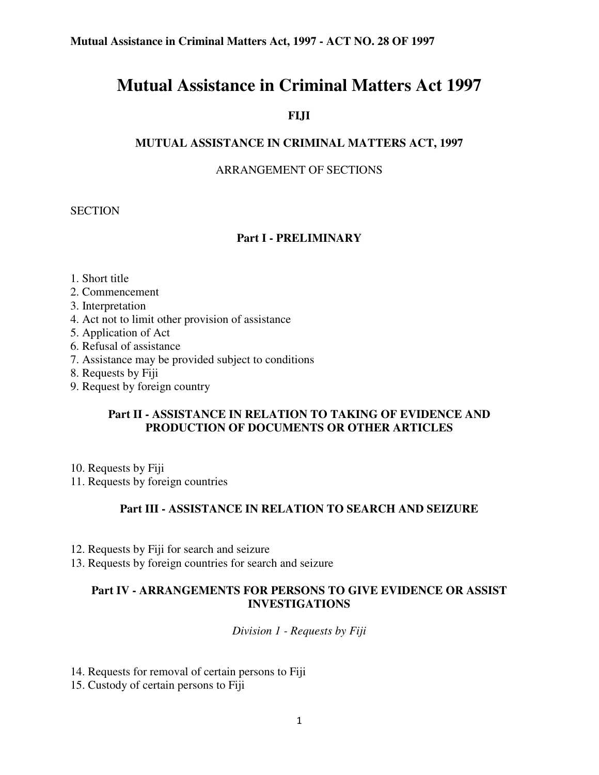# **Mutual Assistance in Criminal Matters Act 1997**

# **FIJI**

## **MUTUAL ASSISTANCE IN CRIMINAL MATTERS ACT, 1997**

#### ARRANGEMENT OF SECTIONS

#### **SECTION**

#### **Part I - PRELIMINARY**

- 1. Short title
- 2. Commencement
- 3. Interpretation
- 4. Act not to limit other provision of assistance
- 5. Application of Act
- 6. Refusal of assistance
- 7. Assistance may be provided subject to conditions
- 8. Requests by Fiji
- 9. Request by foreign country

#### **Part II - ASSISTANCE IN RELATION TO TAKING OF EVIDENCE AND PRODUCTION OF DOCUMENTS OR OTHER ARTICLES**

- 10. Requests by Fiji
- 11. Requests by foreign countries

#### **Part III - ASSISTANCE IN RELATION TO SEARCH AND SEIZURE**

- 12. Requests by Fiji for search and seizure
- 13. Requests by foreign countries for search and seizure

#### **Part IV - ARRANGEMENTS FOR PERSONS TO GIVE EVIDENCE OR ASSIST INVESTIGATIONS**

*Division 1 - Requests by Fiji*

14. Requests for removal of certain persons to Fiji

15. Custody of certain persons to Fiji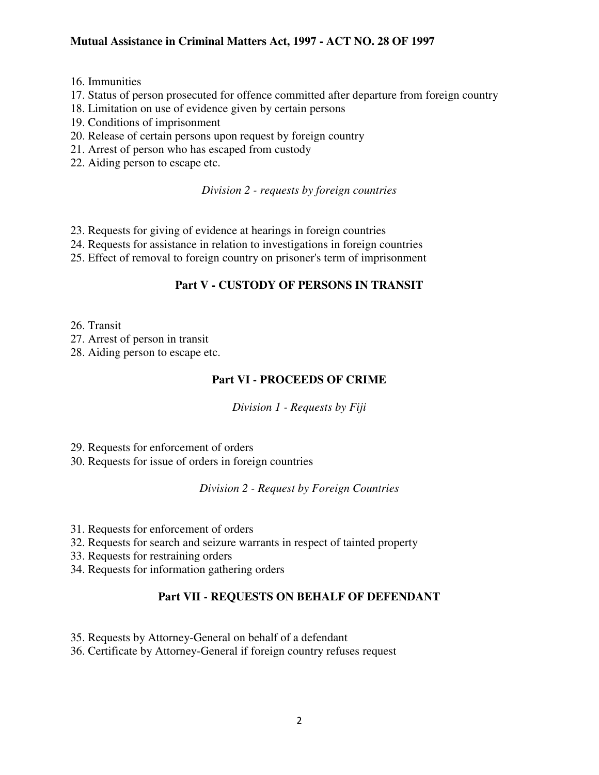- 16. Immunities
- 17. Status of person prosecuted for offence committed after departure from foreign country
- 18. Limitation on use of evidence given by certain persons
- 19. Conditions of imprisonment
- 20. Release of certain persons upon request by foreign country
- 21. Arrest of person who has escaped from custody
- 22. Aiding person to escape etc.

## *Division 2 - requests by foreign countries*

- 23. Requests for giving of evidence at hearings in foreign countries
- 24. Requests for assistance in relation to investigations in foreign countries
- 25. Effect of removal to foreign country on prisoner's term of imprisonment

# **Part V - CUSTODY OF PERSONS IN TRANSIT**

- 26. Transit
- 27. Arrest of person in transit
- 28. Aiding person to escape etc.

# **Part VI - PROCEEDS OF CRIME**

*Division 1 - Requests by Fiji*

29. Requests for enforcement of orders

30. Requests for issue of orders in foreign countries

*Division 2 - Request by Foreign Countries*

- 31. Requests for enforcement of orders
- 32. Requests for search and seizure warrants in respect of tainted property
- 33. Requests for restraining orders
- 34. Requests for information gathering orders

# **Part VII - REQUESTS ON BEHALF OF DEFENDANT**

- 35. Requests by Attorney-General on behalf of a defendant
- 36. Certificate by Attorney-General if foreign country refuses request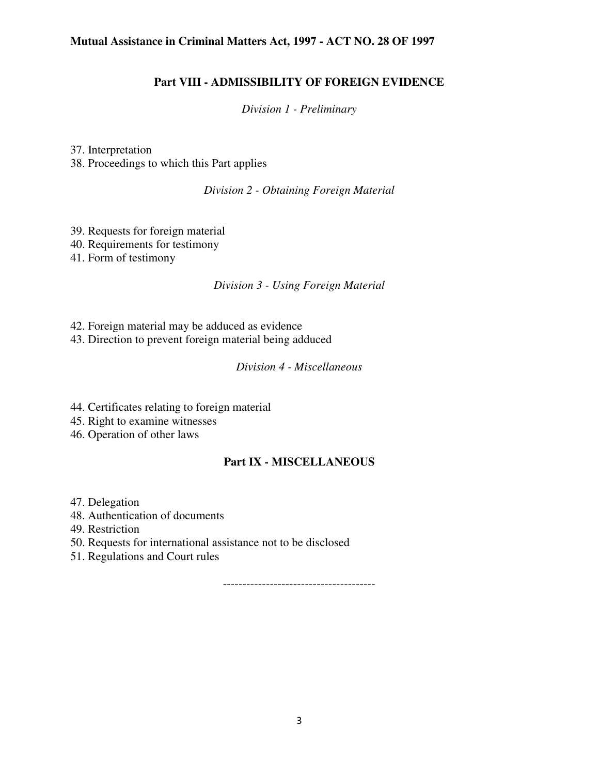#### **Part VIII - ADMISSIBILITY OF FOREIGN EVIDENCE**

*Division 1 - Preliminary*

37. Interpretation 38. Proceedings to which this Part applies

*Division 2 - Obtaining Foreign Material*

39. Requests for foreign material 40. Requirements for testimony 41. Form of testimony

#### *Division 3 - Using Foreign Material*

- 42. Foreign material may be adduced as evidence
- 43. Direction to prevent foreign material being adduced

#### *Division 4 - Miscellaneous*

- 44. Certificates relating to foreign material
- 45. Right to examine witnesses
- 46. Operation of other laws

## **Part IX - MISCELLANEOUS**

- 47. Delegation
- 48. Authentication of documents
- 49. Restriction
- 50. Requests for international assistance not to be disclosed
- 51. Regulations and Court rules

---------------------------------------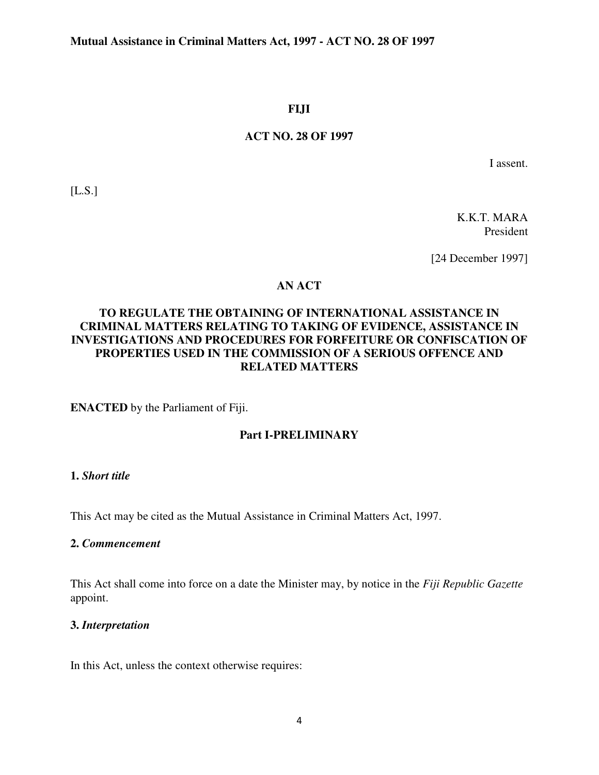#### **FIJI**

#### **ACT NO. 28 OF 1997**

I assent.

[L.S.]

K.K.T. MARA President

[24 December 1997]

## **AN ACT**

## **TO REGULATE THE OBTAINING OF INTERNATIONAL ASSISTANCE IN CRIMINAL MATTERS RELATING TO TAKING OF EVIDENCE, ASSISTANCE IN INVESTIGATIONS AND PROCEDURES FOR FORFEITURE OR CONFISCATION OF PROPERTIES USED IN THE COMMISSION OF A SERIOUS OFFENCE AND RELATED MATTERS**

**ENACTED** by the Parliament of Fiji.

## **Part I-PRELIMINARY**

## **1.** *Short title*

This Act may be cited as the Mutual Assistance in Criminal Matters Act, 1997.

#### **2.** *Commencement*

This Act shall come into force on a date the Minister may, by notice in the *Fiji Republic Gazette* appoint.

## **3.** *Interpretation*

In this Act, unless the context otherwise requires: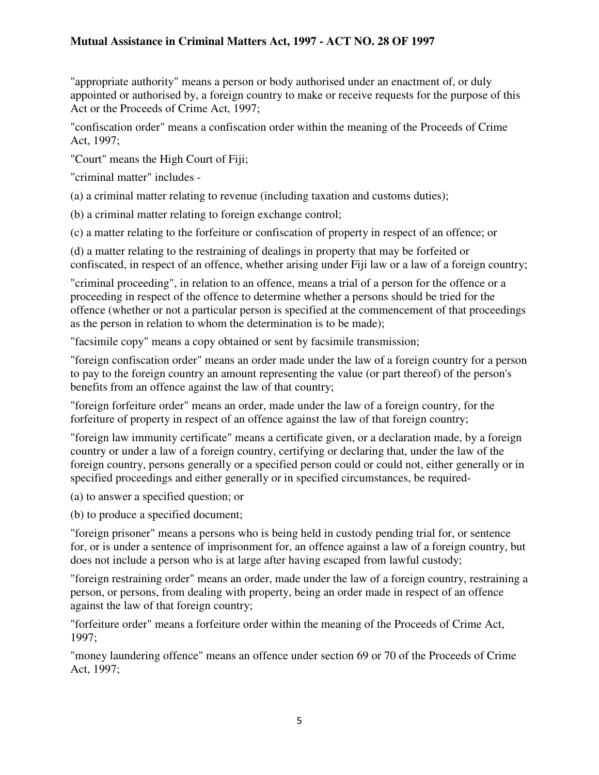"appropriate authority" means a person or body authorised under an enactment of, or duly appointed or authorised by, a foreign country to make or receive requests for the purpose of this Act or the Proceeds of Crime Act, 1997;

"confiscation order" means a confiscation order within the meaning of the Proceeds of Crime Act, 1997;

"Court" means the High Court of Fiji;

"criminal matter" includes -

(a) a criminal matter relating to revenue (including taxation and customs duties);

(b) a criminal matter relating to foreign exchange control;

(c) a matter relating to the forfeiture or confiscation of property in respect of an offence; or

(d) a matter relating to the restraining of dealings in property that may be forfeited or confiscated, in respect of an offence, whether arising under Fiji law or a law of a foreign country;

"criminal proceeding", in relation to an offence, means a trial of a person for the offence or a proceeding in respect of the offence to determine whether a persons should be tried for the offence (whether or not a particular person is specified at the commencement of that proceedings as the person in relation to whom the determination is to be made);

"facsimile copy" means a copy obtained or sent by facsimile transmission;

"foreign confiscation order" means an order made under the law of a foreign country for a person to pay to the foreign country an amount representing the value (or part thereof) of the person's benefits from an offence against the law of that country;

"foreign forfeiture order" means an order, made under the law of a foreign country, for the forfeiture of property in respect of an offence against the law of that foreign country;

"foreign law immunity certificate" means a certificate given, or a declaration made, by a foreign country or under a law of a foreign country, certifying or declaring that, under the law of the foreign country, persons generally or a specified person could or could not, either generally or in specified proceedings and either generally or in specified circumstances, be required-

(a) to answer a specified question; or

(b) to produce a specified document;

"foreign prisoner" means a persons who is being held in custody pending trial for, or sentence for, or is under a sentence of imprisonment for, an offence against a law of a foreign country, but does not include a person who is at large after having escaped from lawful custody;

"foreign restraining order" means an order, made under the law of a foreign country, restraining a person, or persons, from dealing with property, being an order made in respect of an offence against the law of that foreign country;

"forfeiture order" means a forfeiture order within the meaning of the Proceeds of Crime Act, 1997;

"money laundering offence" means an offence under section 69 or 70 of the Proceeds of Crime Act, 1997;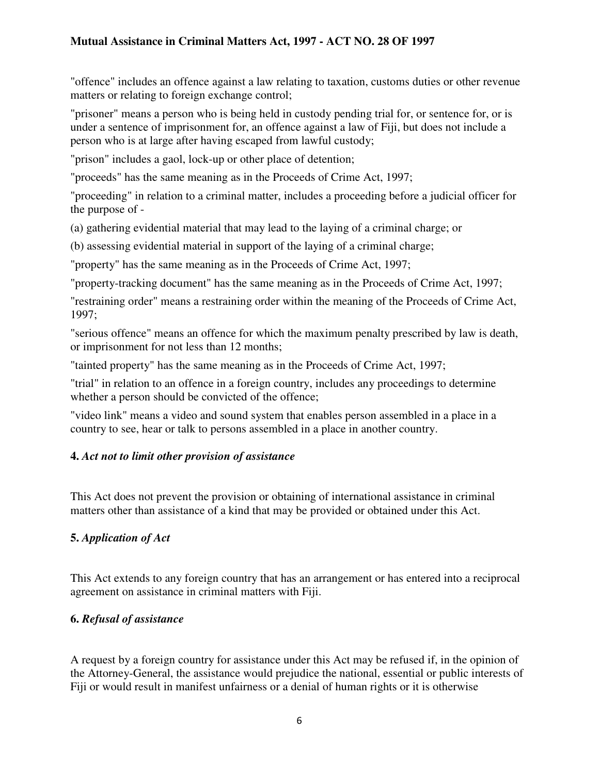"offence" includes an offence against a law relating to taxation, customs duties or other revenue matters or relating to foreign exchange control;

"prisoner" means a person who is being held in custody pending trial for, or sentence for, or is under a sentence of imprisonment for, an offence against a law of Fiji, but does not include a person who is at large after having escaped from lawful custody;

"prison" includes a gaol, lock-up or other place of detention;

"proceeds" has the same meaning as in the Proceeds of Crime Act, 1997;

"proceeding" in relation to a criminal matter, includes a proceeding before a judicial officer for the purpose of -

(a) gathering evidential material that may lead to the laying of a criminal charge; or

(b) assessing evidential material in support of the laying of a criminal charge;

"property" has the same meaning as in the Proceeds of Crime Act, 1997;

"property-tracking document" has the same meaning as in the Proceeds of Crime Act, 1997;

"restraining order" means a restraining order within the meaning of the Proceeds of Crime Act, 1997;

"serious offence" means an offence for which the maximum penalty prescribed by law is death, or imprisonment for not less than 12 months;

"tainted property" has the same meaning as in the Proceeds of Crime Act, 1997;

"trial" in relation to an offence in a foreign country, includes any proceedings to determine whether a person should be convicted of the offence;

"video link" means a video and sound system that enables person assembled in a place in a country to see, hear or talk to persons assembled in a place in another country.

## **4.** *Act not to limit other provision of assistance*

This Act does not prevent the provision or obtaining of international assistance in criminal matters other than assistance of a kind that may be provided or obtained under this Act.

## **5.** *Application of Act*

This Act extends to any foreign country that has an arrangement or has entered into a reciprocal agreement on assistance in criminal matters with Fiji.

## **6.** *Refusal of assistance*

A request by a foreign country for assistance under this Act may be refused if, in the opinion of the Attorney-General, the assistance would prejudice the national, essential or public interests of Fiji or would result in manifest unfairness or a denial of human rights or it is otherwise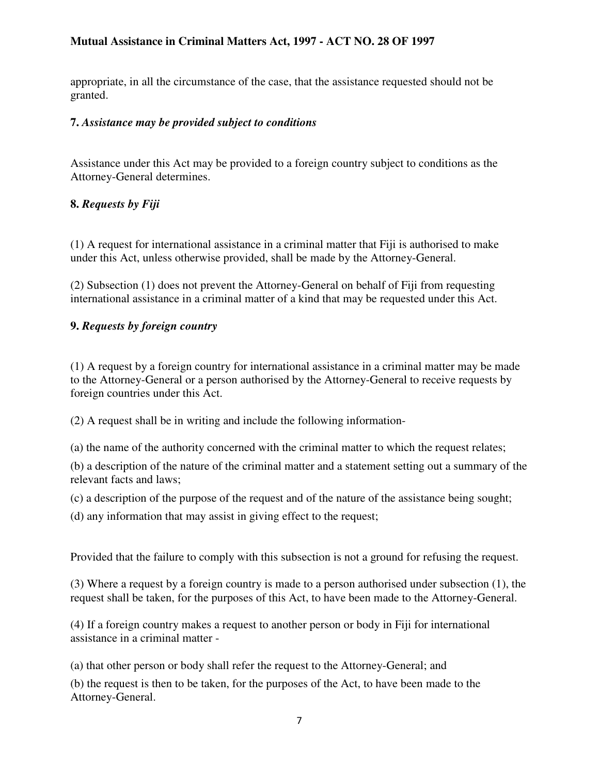appropriate, in all the circumstance of the case, that the assistance requested should not be granted.

#### **7.** *Assistance may be provided subject to conditions*

Assistance under this Act may be provided to a foreign country subject to conditions as the Attorney-General determines.

## **8.** *Requests by Fiji*

(1) A request for international assistance in a criminal matter that Fiji is authorised to make under this Act, unless otherwise provided, shall be made by the Attorney-General.

(2) Subsection (1) does not prevent the Attorney-General on behalf of Fiji from requesting international assistance in a criminal matter of a kind that may be requested under this Act.

# **9.** *Requests by foreign country*

(1) A request by a foreign country for international assistance in a criminal matter may be made to the Attorney-General or a person authorised by the Attorney-General to receive requests by foreign countries under this Act.

(2) A request shall be in writing and include the following information-

(a) the name of the authority concerned with the criminal matter to which the request relates;

(b) a description of the nature of the criminal matter and a statement setting out a summary of the relevant facts and laws;

(c) a description of the purpose of the request and of the nature of the assistance being sought;

(d) any information that may assist in giving effect to the request;

Provided that the failure to comply with this subsection is not a ground for refusing the request.

(3) Where a request by a foreign country is made to a person authorised under subsection (1), the request shall be taken, for the purposes of this Act, to have been made to the Attorney-General.

(4) If a foreign country makes a request to another person or body in Fiji for international assistance in a criminal matter -

(a) that other person or body shall refer the request to the Attorney-General; and

(b) the request is then to be taken, for the purposes of the Act, to have been made to the Attorney-General.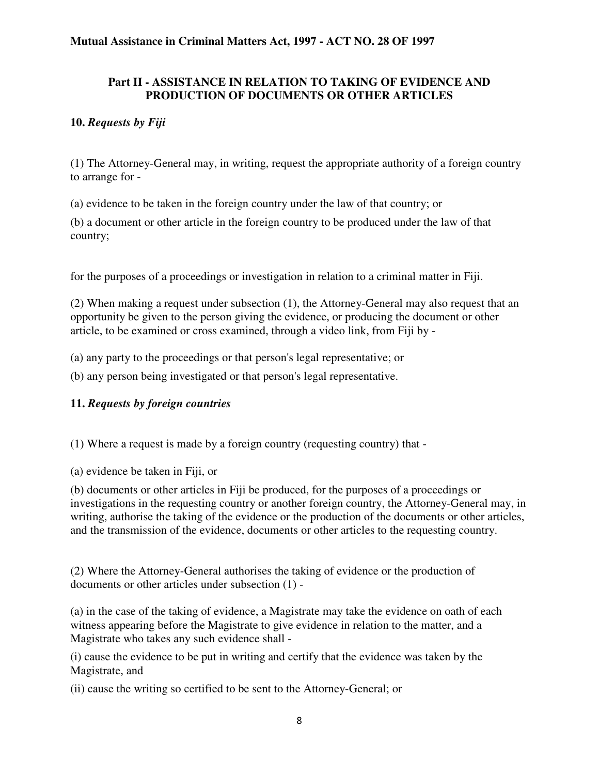#### **Part II - ASSISTANCE IN RELATION TO TAKING OF EVIDENCE AND PRODUCTION OF DOCUMENTS OR OTHER ARTICLES**

#### **10.** *Requests by Fiji*

(1) The Attorney-General may, in writing, request the appropriate authority of a foreign country to arrange for -

(a) evidence to be taken in the foreign country under the law of that country; or

(b) a document or other article in the foreign country to be produced under the law of that country;

for the purposes of a proceedings or investigation in relation to a criminal matter in Fiji.

(2) When making a request under subsection (1), the Attorney-General may also request that an opportunity be given to the person giving the evidence, or producing the document or other article, to be examined or cross examined, through a video link, from Fiji by -

(a) any party to the proceedings or that person's legal representative; or

(b) any person being investigated or that person's legal representative.

#### **11.** *Requests by foreign countries*

(1) Where a request is made by a foreign country (requesting country) that -

(a) evidence be taken in Fiji, or

(b) documents or other articles in Fiji be produced, for the purposes of a proceedings or investigations in the requesting country or another foreign country, the Attorney-General may, in writing, authorise the taking of the evidence or the production of the documents or other articles, and the transmission of the evidence, documents or other articles to the requesting country.

(2) Where the Attorney-General authorises the taking of evidence or the production of documents or other articles under subsection (1) -

(a) in the case of the taking of evidence, a Magistrate may take the evidence on oath of each witness appearing before the Magistrate to give evidence in relation to the matter, and a Magistrate who takes any such evidence shall -

(i) cause the evidence to be put in writing and certify that the evidence was taken by the Magistrate, and

(ii) cause the writing so certified to be sent to the Attorney-General; or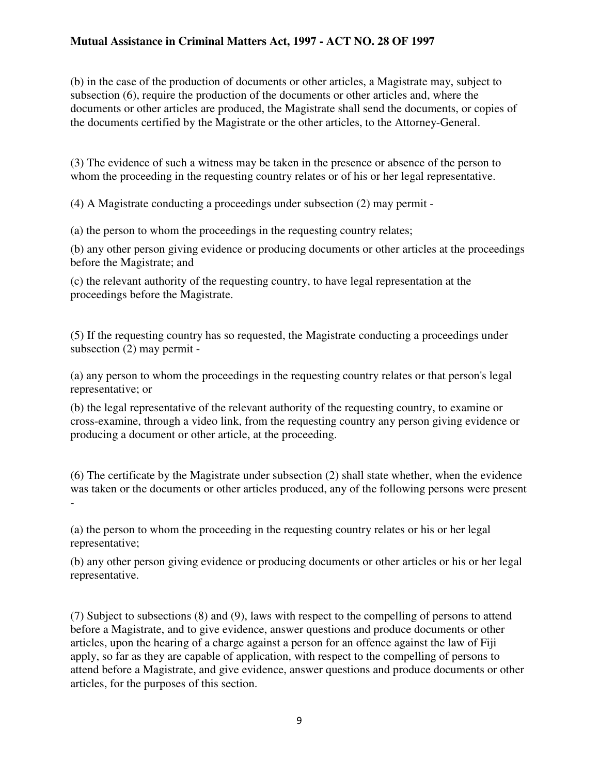(b) in the case of the production of documents or other articles, a Magistrate may, subject to subsection (6), require the production of the documents or other articles and, where the documents or other articles are produced, the Magistrate shall send the documents, or copies of the documents certified by the Magistrate or the other articles, to the Attorney-General.

(3) The evidence of such a witness may be taken in the presence or absence of the person to whom the proceeding in the requesting country relates or of his or her legal representative.

(4) A Magistrate conducting a proceedings under subsection (2) may permit -

(a) the person to whom the proceedings in the requesting country relates;

(b) any other person giving evidence or producing documents or other articles at the proceedings before the Magistrate; and

(c) the relevant authority of the requesting country, to have legal representation at the proceedings before the Magistrate.

(5) If the requesting country has so requested, the Magistrate conducting a proceedings under subsection (2) may permit -

(a) any person to whom the proceedings in the requesting country relates or that person's legal representative; or

(b) the legal representative of the relevant authority of the requesting country, to examine or cross-examine, through a video link, from the requesting country any person giving evidence or producing a document or other article, at the proceeding.

(6) The certificate by the Magistrate under subsection (2) shall state whether, when the evidence was taken or the documents or other articles produced, any of the following persons were present -

(a) the person to whom the proceeding in the requesting country relates or his or her legal representative;

(b) any other person giving evidence or producing documents or other articles or his or her legal representative.

(7) Subject to subsections (8) and (9), laws with respect to the compelling of persons to attend before a Magistrate, and to give evidence, answer questions and produce documents or other articles, upon the hearing of a charge against a person for an offence against the law of Fiji apply, so far as they are capable of application, with respect to the compelling of persons to attend before a Magistrate, and give evidence, answer questions and produce documents or other articles, for the purposes of this section.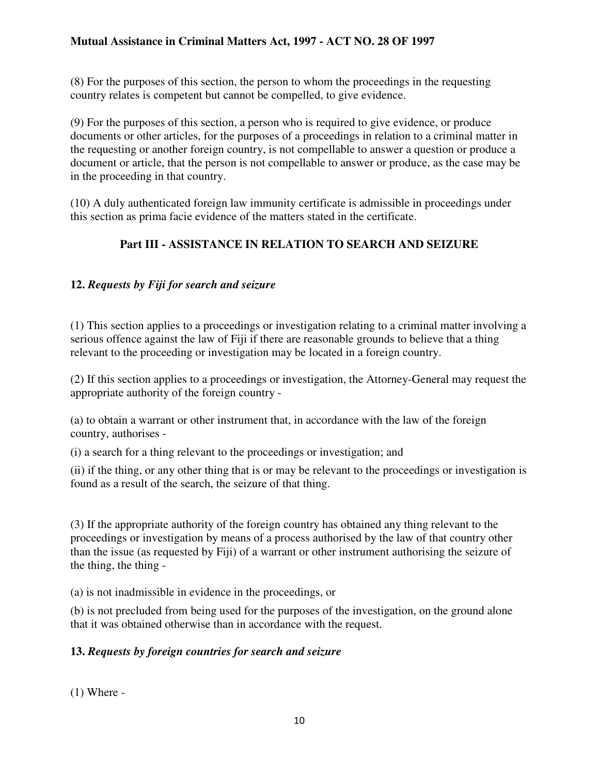(8) For the purposes of this section, the person to whom the proceedings in the requesting country relates is competent but cannot be compelled, to give evidence.

(9) For the purposes of this section, a person who is required to give evidence, or produce documents or other articles, for the purposes of a proceedings in relation to a criminal matter in the requesting or another foreign country, is not compellable to answer a question or produce a document or article, that the person is not compellable to answer or produce, as the case may be in the proceeding in that country.

(10) A duly authenticated foreign law immunity certificate is admissible in proceedings under this section as prima facie evidence of the matters stated in the certificate.

# **Part III - ASSISTANCE IN RELATION TO SEARCH AND SEIZURE**

## **12.** *Requests by Fiji for search and seizure*

(1) This section applies to a proceedings or investigation relating to a criminal matter involving a serious offence against the law of Fiji if there are reasonable grounds to believe that a thing relevant to the proceeding or investigation may be located in a foreign country.

(2) If this section applies to a proceedings or investigation, the Attorney-General may request the appropriate authority of the foreign country -

(a) to obtain a warrant or other instrument that, in accordance with the law of the foreign country, authorises -

(i) a search for a thing relevant to the proceedings or investigation; and

(ii) if the thing, or any other thing that is or may be relevant to the proceedings or investigation is found as a result of the search, the seizure of that thing.

(3) If the appropriate authority of the foreign country has obtained any thing relevant to the proceedings or investigation by means of a process authorised by the law of that country other than the issue (as requested by Fiji) of a warrant or other instrument authorising the seizure of the thing, the thing -

(a) is not inadmissible in evidence in the proceedings, or

(b) is not precluded from being used for the purposes of the investigation, on the ground alone that it was obtained otherwise than in accordance with the request.

## **13.** *Requests by foreign countries for search and seizure*

 $(1)$  Where -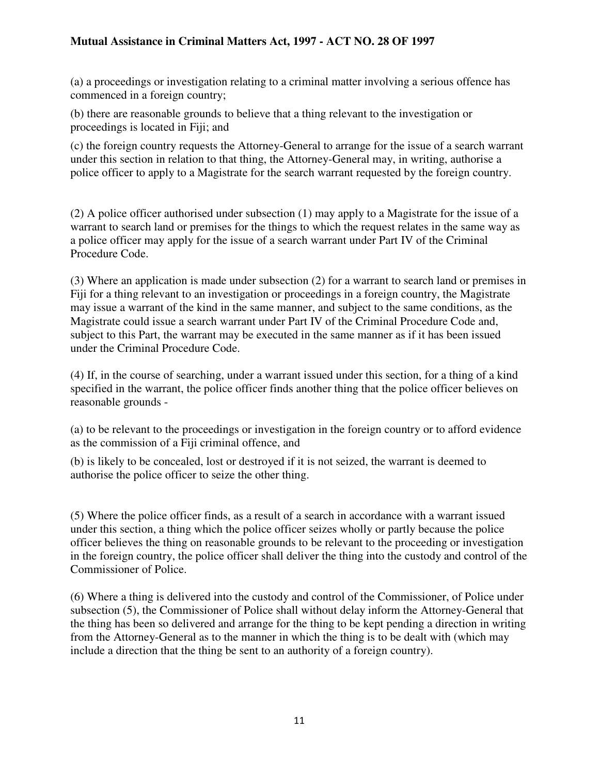(a) a proceedings or investigation relating to a criminal matter involving a serious offence has commenced in a foreign country;

(b) there are reasonable grounds to believe that a thing relevant to the investigation or proceedings is located in Fiji; and

(c) the foreign country requests the Attorney-General to arrange for the issue of a search warrant under this section in relation to that thing, the Attorney-General may, in writing, authorise a police officer to apply to a Magistrate for the search warrant requested by the foreign country.

(2) A police officer authorised under subsection (1) may apply to a Magistrate for the issue of a warrant to search land or premises for the things to which the request relates in the same way as a police officer may apply for the issue of a search warrant under Part IV of the Criminal Procedure Code.

(3) Where an application is made under subsection (2) for a warrant to search land or premises in Fiji for a thing relevant to an investigation or proceedings in a foreign country, the Magistrate may issue a warrant of the kind in the same manner, and subject to the same conditions, as the Magistrate could issue a search warrant under Part IV of the Criminal Procedure Code and, subject to this Part, the warrant may be executed in the same manner as if it has been issued under the Criminal Procedure Code.

(4) If, in the course of searching, under a warrant issued under this section, for a thing of a kind specified in the warrant, the police officer finds another thing that the police officer believes on reasonable grounds -

(a) to be relevant to the proceedings or investigation in the foreign country or to afford evidence as the commission of a Fiji criminal offence, and

(b) is likely to be concealed, lost or destroyed if it is not seized, the warrant is deemed to authorise the police officer to seize the other thing.

(5) Where the police officer finds, as a result of a search in accordance with a warrant issued under this section, a thing which the police officer seizes wholly or partly because the police officer believes the thing on reasonable grounds to be relevant to the proceeding or investigation in the foreign country, the police officer shall deliver the thing into the custody and control of the Commissioner of Police.

(6) Where a thing is delivered into the custody and control of the Commissioner, of Police under subsection (5), the Commissioner of Police shall without delay inform the Attorney-General that the thing has been so delivered and arrange for the thing to be kept pending a direction in writing from the Attorney-General as to the manner in which the thing is to be dealt with (which may include a direction that the thing be sent to an authority of a foreign country).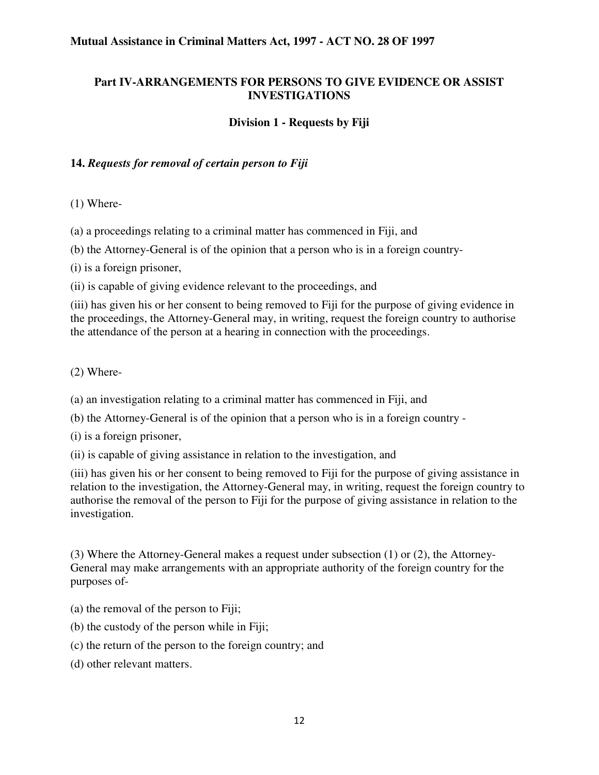#### **Part IV-ARRANGEMENTS FOR PERSONS TO GIVE EVIDENCE OR ASSIST INVESTIGATIONS**

#### **Division 1 - Requests by Fiji**

#### **14.** *Requests for removal of certain person to Fiji*

(1) Where-

(a) a proceedings relating to a criminal matter has commenced in Fiji, and

(b) the Attorney-General is of the opinion that a person who is in a foreign country-

(i) is a foreign prisoner,

(ii) is capable of giving evidence relevant to the proceedings, and

(iii) has given his or her consent to being removed to Fiji for the purpose of giving evidence in the proceedings, the Attorney-General may, in writing, request the foreign country to authorise the attendance of the person at a hearing in connection with the proceedings.

(2) Where-

(a) an investigation relating to a criminal matter has commenced in Fiji, and

(b) the Attorney-General is of the opinion that a person who is in a foreign country -

(i) is a foreign prisoner,

(ii) is capable of giving assistance in relation to the investigation, and

(iii) has given his or her consent to being removed to Fiji for the purpose of giving assistance in relation to the investigation, the Attorney-General may, in writing, request the foreign country to authorise the removal of the person to Fiji for the purpose of giving assistance in relation to the investigation.

(3) Where the Attorney-General makes a request under subsection (1) or (2), the Attorney-General may make arrangements with an appropriate authority of the foreign country for the purposes of-

- (a) the removal of the person to Fiji;
- (b) the custody of the person while in Fiji;
- (c) the return of the person to the foreign country; and
- (d) other relevant matters.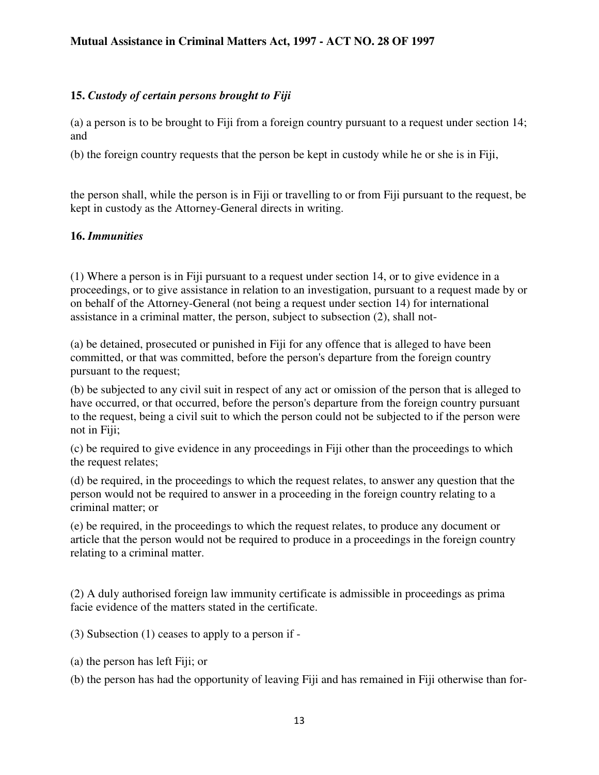#### **15.** *Custody of certain persons brought to Fiji*

(a) a person is to be brought to Fiji from a foreign country pursuant to a request under section 14; and

(b) the foreign country requests that the person be kept in custody while he or she is in Fiji,

the person shall, while the person is in Fiji or travelling to or from Fiji pursuant to the request, be kept in custody as the Attorney-General directs in writing.

#### **16.** *Immunities*

(1) Where a person is in Fiji pursuant to a request under section 14, or to give evidence in a proceedings, or to give assistance in relation to an investigation, pursuant to a request made by or on behalf of the Attorney-General (not being a request under section 14) for international assistance in a criminal matter, the person, subject to subsection (2), shall not-

(a) be detained, prosecuted or punished in Fiji for any offence that is alleged to have been committed, or that was committed, before the person's departure from the foreign country pursuant to the request;

(b) be subjected to any civil suit in respect of any act or omission of the person that is alleged to have occurred, or that occurred, before the person's departure from the foreign country pursuant to the request, being a civil suit to which the person could not be subjected to if the person were not in Fiji;

(c) be required to give evidence in any proceedings in Fiji other than the proceedings to which the request relates;

(d) be required, in the proceedings to which the request relates, to answer any question that the person would not be required to answer in a proceeding in the foreign country relating to a criminal matter; or

(e) be required, in the proceedings to which the request relates, to produce any document or article that the person would not be required to produce in a proceedings in the foreign country relating to a criminal matter.

(2) A duly authorised foreign law immunity certificate is admissible in proceedings as prima facie evidence of the matters stated in the certificate.

(3) Subsection (1) ceases to apply to a person if -

(a) the person has left Fiji; or

(b) the person has had the opportunity of leaving Fiji and has remained in Fiji otherwise than for-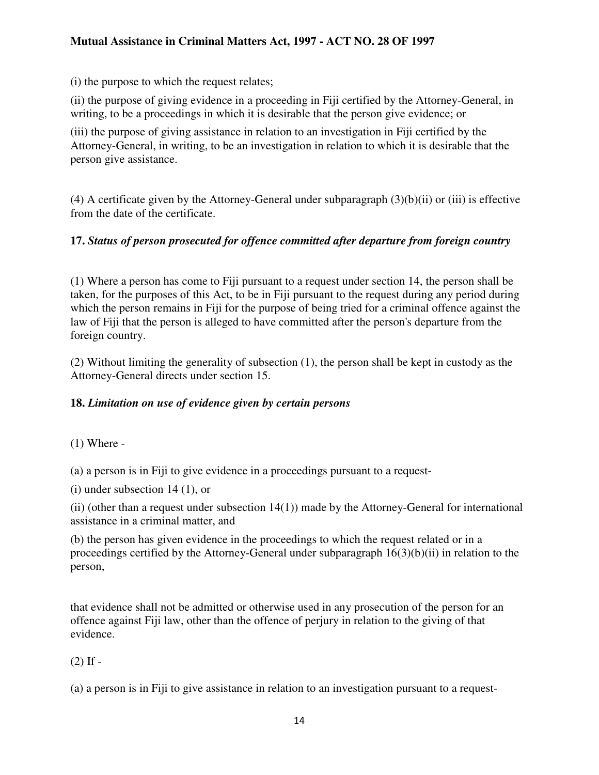(i) the purpose to which the request relates;

(ii) the purpose of giving evidence in a proceeding in Fiji certified by the Attorney-General, in writing, to be a proceedings in which it is desirable that the person give evidence; or

(iii) the purpose of giving assistance in relation to an investigation in Fiji certified by the Attorney-General, in writing, to be an investigation in relation to which it is desirable that the person give assistance.

(4) A certificate given by the Attorney-General under subparagraph (3)(b)(ii) or (iii) is effective from the date of the certificate.

## **17.** *Status of person prosecuted for offence committed after departure from foreign country*

(1) Where a person has come to Fiji pursuant to a request under section 14, the person shall be taken, for the purposes of this Act, to be in Fiji pursuant to the request during any period during which the person remains in Fiji for the purpose of being tried for a criminal offence against the law of Fiji that the person is alleged to have committed after the person's departure from the foreign country.

(2) Without limiting the generality of subsection (1), the person shall be kept in custody as the Attorney-General directs under section 15.

## **18.** *Limitation on use of evidence given by certain persons*

 $(1)$  Where -

(a) a person is in Fiji to give evidence in a proceedings pursuant to a request-

(i) under subsection 14 (1), or

(ii) (other than a request under subsection 14(1)) made by the Attorney-General for international assistance in a criminal matter, and

(b) the person has given evidence in the proceedings to which the request related or in a proceedings certified by the Attorney-General under subparagraph 16(3)(b)(ii) in relation to the person,

that evidence shall not be admitted or otherwise used in any prosecution of the person for an offence against Fiji law, other than the offence of perjury in relation to the giving of that evidence.

## $(2)$  If  $-$

(a) a person is in Fiji to give assistance in relation to an investigation pursuant to a request-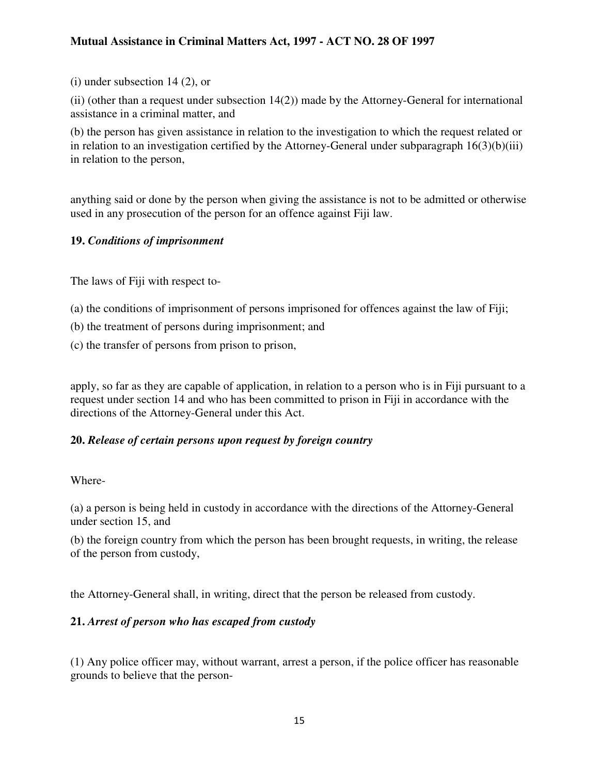(i) under subsection 14 (2), or

(ii) (other than a request under subsection 14(2)) made by the Attorney-General for international assistance in a criminal matter, and

(b) the person has given assistance in relation to the investigation to which the request related or in relation to an investigation certified by the Attorney-General under subparagraph  $16(3)(b)(iii)$ in relation to the person,

anything said or done by the person when giving the assistance is not to be admitted or otherwise used in any prosecution of the person for an offence against Fiji law.

## **19.** *Conditions of imprisonment*

The laws of Fiji with respect to-

- (a) the conditions of imprisonment of persons imprisoned for offences against the law of Fiji;
- (b) the treatment of persons during imprisonment; and
- (c) the transfer of persons from prison to prison,

apply, so far as they are capable of application, in relation to a person who is in Fiji pursuant to a request under section 14 and who has been committed to prison in Fiji in accordance with the directions of the Attorney-General under this Act.

## **20.** *Release of certain persons upon request by foreign country*

#### Where-

(a) a person is being held in custody in accordance with the directions of the Attorney-General under section 15, and

(b) the foreign country from which the person has been brought requests, in writing, the release of the person from custody,

the Attorney-General shall, in writing, direct that the person be released from custody.

## **21.** *Arrest of person who has escaped from custody*

(1) Any police officer may, without warrant, arrest a person, if the police officer has reasonable grounds to believe that the person-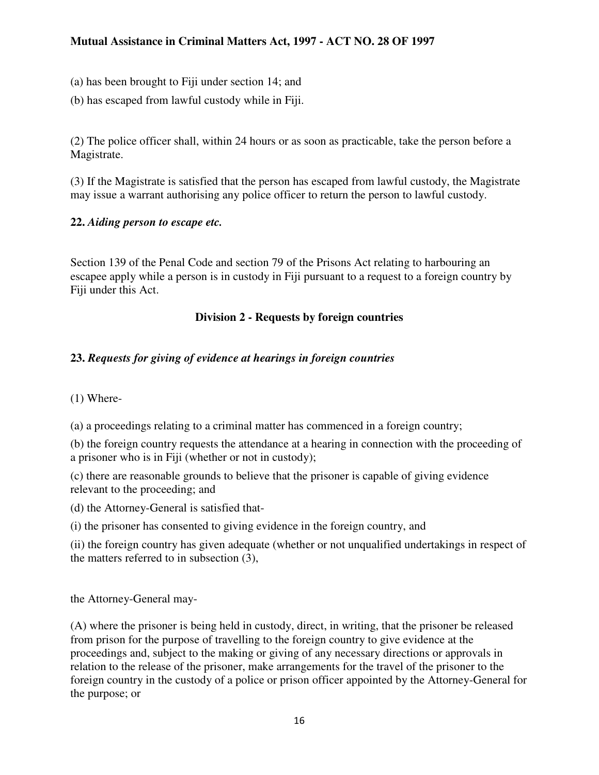(a) has been brought to Fiji under section 14; and

(b) has escaped from lawful custody while in Fiji.

(2) The police officer shall, within 24 hours or as soon as practicable, take the person before a Magistrate.

(3) If the Magistrate is satisfied that the person has escaped from lawful custody, the Magistrate may issue a warrant authorising any police officer to return the person to lawful custody.

# **22.** *Aiding person to escape etc.*

Section 139 of the Penal Code and section 79 of the Prisons Act relating to harbouring an escapee apply while a person is in custody in Fiji pursuant to a request to a foreign country by Fiji under this Act.

# **Division 2 - Requests by foreign countries**

# **23.** *Requests for giving of evidence at hearings in foreign countries*

(1) Where-

(a) a proceedings relating to a criminal matter has commenced in a foreign country;

(b) the foreign country requests the attendance at a hearing in connection with the proceeding of a prisoner who is in Fiji (whether or not in custody);

(c) there are reasonable grounds to believe that the prisoner is capable of giving evidence relevant to the proceeding; and

(d) the Attorney-General is satisfied that-

(i) the prisoner has consented to giving evidence in the foreign country, and

(ii) the foreign country has given adequate (whether or not unqualified undertakings in respect of the matters referred to in subsection (3),

the Attorney-General may-

(A) where the prisoner is being held in custody, direct, in writing, that the prisoner be released from prison for the purpose of travelling to the foreign country to give evidence at the proceedings and, subject to the making or giving of any necessary directions or approvals in relation to the release of the prisoner, make arrangements for the travel of the prisoner to the foreign country in the custody of a police or prison officer appointed by the Attorney-General for the purpose; or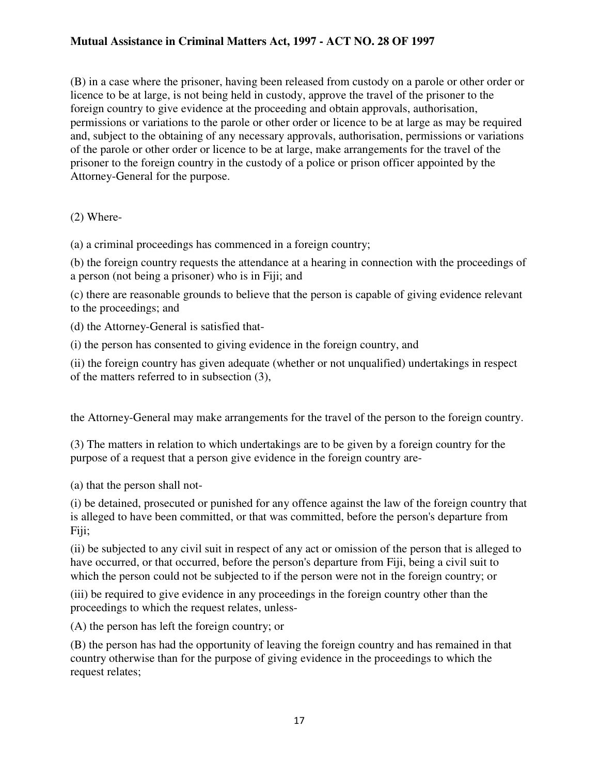(B) in a case where the prisoner, having been released from custody on a parole or other order or licence to be at large, is not being held in custody, approve the travel of the prisoner to the foreign country to give evidence at the proceeding and obtain approvals, authorisation, permissions or variations to the parole or other order or licence to be at large as may be required and, subject to the obtaining of any necessary approvals, authorisation, permissions or variations of the parole or other order or licence to be at large, make arrangements for the travel of the prisoner to the foreign country in the custody of a police or prison officer appointed by the Attorney-General for the purpose.

## (2) Where-

(a) a criminal proceedings has commenced in a foreign country;

(b) the foreign country requests the attendance at a hearing in connection with the proceedings of a person (not being a prisoner) who is in Fiji; and

(c) there are reasonable grounds to believe that the person is capable of giving evidence relevant to the proceedings; and

(d) the Attorney-General is satisfied that-

(i) the person has consented to giving evidence in the foreign country, and

(ii) the foreign country has given adequate (whether or not unqualified) undertakings in respect of the matters referred to in subsection (3),

the Attorney-General may make arrangements for the travel of the person to the foreign country.

(3) The matters in relation to which undertakings are to be given by a foreign country for the purpose of a request that a person give evidence in the foreign country are-

(a) that the person shall not-

(i) be detained, prosecuted or punished for any offence against the law of the foreign country that is alleged to have been committed, or that was committed, before the person's departure from Fiji;

(ii) be subjected to any civil suit in respect of any act or omission of the person that is alleged to have occurred, or that occurred, before the person's departure from Fiji, being a civil suit to which the person could not be subjected to if the person were not in the foreign country; or

(iii) be required to give evidence in any proceedings in the foreign country other than the proceedings to which the request relates, unless-

(A) the person has left the foreign country; or

(B) the person has had the opportunity of leaving the foreign country and has remained in that country otherwise than for the purpose of giving evidence in the proceedings to which the request relates;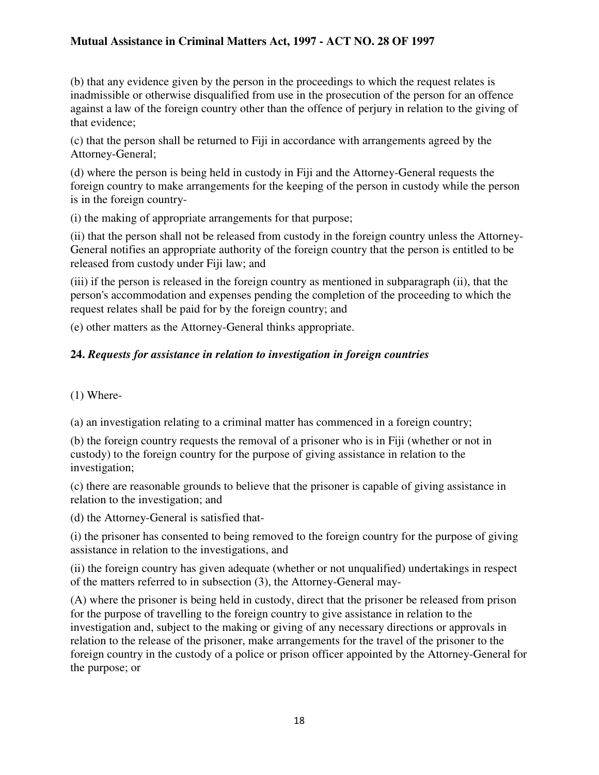(b) that any evidence given by the person in the proceedings to which the request relates is inadmissible or otherwise disqualified from use in the prosecution of the person for an offence against a law of the foreign country other than the offence of perjury in relation to the giving of that evidence;

(c) that the person shall be returned to Fiji in accordance with arrangements agreed by the Attorney-General;

(d) where the person is being held in custody in Fiji and the Attorney-General requests the foreign country to make arrangements for the keeping of the person in custody while the person is in the foreign country-

(i) the making of appropriate arrangements for that purpose;

(ii) that the person shall not be released from custody in the foreign country unless the Attorney-General notifies an appropriate authority of the foreign country that the person is entitled to be released from custody under Fiji law; and

(iii) if the person is released in the foreign country as mentioned in subparagraph (ii), that the person's accommodation and expenses pending the completion of the proceeding to which the request relates shall be paid for by the foreign country; and

(e) other matters as the Attorney-General thinks appropriate.

# **24.** *Requests for assistance in relation to investigation in foreign countries*

(1) Where-

(a) an investigation relating to a criminal matter has commenced in a foreign country;

(b) the foreign country requests the removal of a prisoner who is in Fiji (whether or not in custody) to the foreign country for the purpose of giving assistance in relation to the investigation;

(c) there are reasonable grounds to believe that the prisoner is capable of giving assistance in relation to the investigation; and

(d) the Attorney-General is satisfied that-

(i) the prisoner has consented to being removed to the foreign country for the purpose of giving assistance in relation to the investigations, and

(ii) the foreign country has given adequate (whether or not unqualified) undertakings in respect of the matters referred to in subsection (3), the Attorney-General may-

(A) where the prisoner is being held in custody, direct that the prisoner be released from prison for the purpose of travelling to the foreign country to give assistance in relation to the investigation and, subject to the making or giving of any necessary directions or approvals in relation to the release of the prisoner, make arrangements for the travel of the prisoner to the foreign country in the custody of a police or prison officer appointed by the Attorney-General for the purpose; or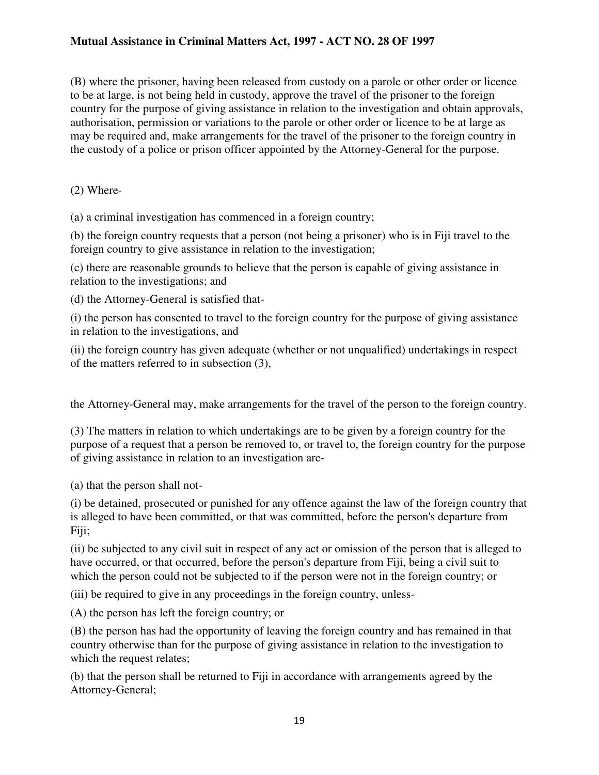(B) where the prisoner, having been released from custody on a parole or other order or licence to be at large, is not being held in custody, approve the travel of the prisoner to the foreign country for the purpose of giving assistance in relation to the investigation and obtain approvals, authorisation, permission or variations to the parole or other order or licence to be at large as may be required and, make arrangements for the travel of the prisoner to the foreign country in the custody of a police or prison officer appointed by the Attorney-General for the purpose.

(2) Where-

(a) a criminal investigation has commenced in a foreign country;

(b) the foreign country requests that a person (not being a prisoner) who is in Fiji travel to the foreign country to give assistance in relation to the investigation;

(c) there are reasonable grounds to believe that the person is capable of giving assistance in relation to the investigations; and

(d) the Attorney-General is satisfied that-

(i) the person has consented to travel to the foreign country for the purpose of giving assistance in relation to the investigations, and

(ii) the foreign country has given adequate (whether or not unqualified) undertakings in respect of the matters referred to in subsection (3),

the Attorney-General may, make arrangements for the travel of the person to the foreign country.

(3) The matters in relation to which undertakings are to be given by a foreign country for the purpose of a request that a person be removed to, or travel to, the foreign country for the purpose of giving assistance in relation to an investigation are-

(a) that the person shall not-

(i) be detained, prosecuted or punished for any offence against the law of the foreign country that is alleged to have been committed, or that was committed, before the person's departure from Fiji;

(ii) be subjected to any civil suit in respect of any act or omission of the person that is alleged to have occurred, or that occurred, before the person's departure from Fiji, being a civil suit to which the person could not be subjected to if the person were not in the foreign country; or

(iii) be required to give in any proceedings in the foreign country, unless-

(A) the person has left the foreign country; or

(B) the person has had the opportunity of leaving the foreign country and has remained in that country otherwise than for the purpose of giving assistance in relation to the investigation to which the request relates;

(b) that the person shall be returned to Fiji in accordance with arrangements agreed by the Attorney-General;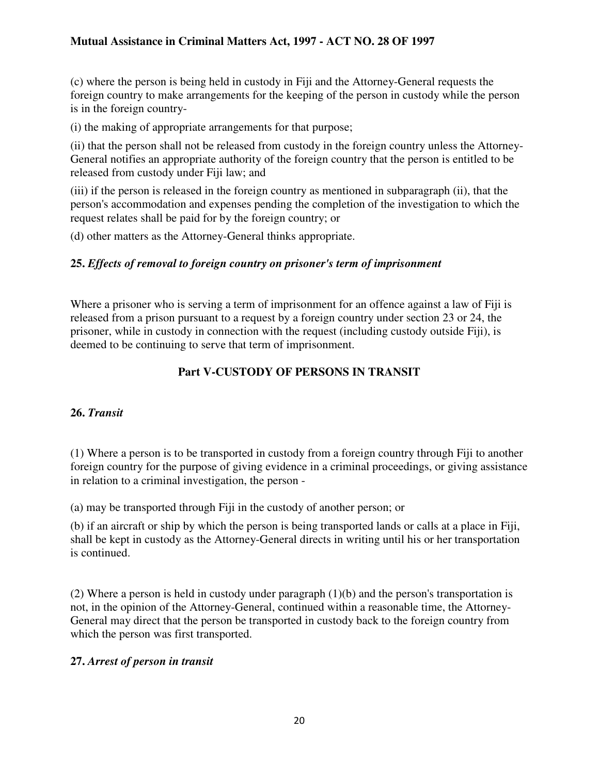(c) where the person is being held in custody in Fiji and the Attorney-General requests the foreign country to make arrangements for the keeping of the person in custody while the person is in the foreign country-

(i) the making of appropriate arrangements for that purpose;

(ii) that the person shall not be released from custody in the foreign country unless the Attorney-General notifies an appropriate authority of the foreign country that the person is entitled to be released from custody under Fiji law; and

(iii) if the person is released in the foreign country as mentioned in subparagraph (ii), that the person's accommodation and expenses pending the completion of the investigation to which the request relates shall be paid for by the foreign country; or

(d) other matters as the Attorney-General thinks appropriate.

## **25.** *Effects of removal to foreign country on prisoner's term of imprisonment*

Where a prisoner who is serving a term of imprisonment for an offence against a law of Fiji is released from a prison pursuant to a request by a foreign country under section 23 or 24, the prisoner, while in custody in connection with the request (including custody outside Fiji), is deemed to be continuing to serve that term of imprisonment.

# **Part V-CUSTODY OF PERSONS IN TRANSIT**

## **26.** *Transit*

(1) Where a person is to be transported in custody from a foreign country through Fiji to another foreign country for the purpose of giving evidence in a criminal proceedings, or giving assistance in relation to a criminal investigation, the person -

(a) may be transported through Fiji in the custody of another person; or

(b) if an aircraft or ship by which the person is being transported lands or calls at a place in Fiji, shall be kept in custody as the Attorney-General directs in writing until his or her transportation is continued.

(2) Where a person is held in custody under paragraph (1)(b) and the person's transportation is not, in the opinion of the Attorney-General, continued within a reasonable time, the Attorney-General may direct that the person be transported in custody back to the foreign country from which the person was first transported.

## **27.** *Arrest of person in transit*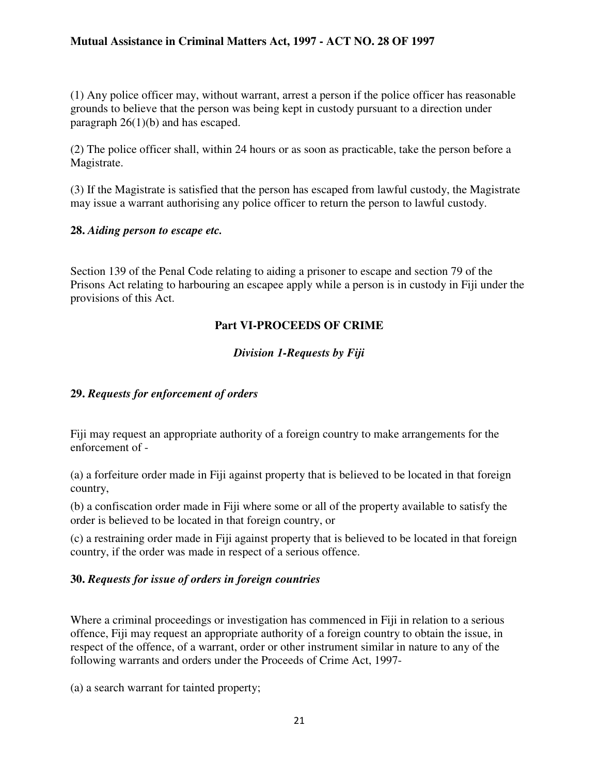(1) Any police officer may, without warrant, arrest a person if the police officer has reasonable grounds to believe that the person was being kept in custody pursuant to a direction under paragraph  $26(1)(b)$  and has escaped.

(2) The police officer shall, within 24 hours or as soon as practicable, take the person before a Magistrate.

(3) If the Magistrate is satisfied that the person has escaped from lawful custody, the Magistrate may issue a warrant authorising any police officer to return the person to lawful custody.

#### **28.** *Aiding person to escape etc.*

Section 139 of the Penal Code relating to aiding a prisoner to escape and section 79 of the Prisons Act relating to harbouring an escapee apply while a person is in custody in Fiji under the provisions of this Act.

#### **Part VI-PROCEEDS OF CRIME**

#### *Division 1-Requests by Fiji*

#### **29.** *Requests for enforcement of orders*

Fiji may request an appropriate authority of a foreign country to make arrangements for the enforcement of -

(a) a forfeiture order made in Fiji against property that is believed to be located in that foreign country,

(b) a confiscation order made in Fiji where some or all of the property available to satisfy the order is believed to be located in that foreign country, or

(c) a restraining order made in Fiji against property that is believed to be located in that foreign country, if the order was made in respect of a serious offence.

#### **30.** *Requests for issue of orders in foreign countries*

Where a criminal proceedings or investigation has commenced in Fiji in relation to a serious offence, Fiji may request an appropriate authority of a foreign country to obtain the issue, in respect of the offence, of a warrant, order or other instrument similar in nature to any of the following warrants and orders under the Proceeds of Crime Act, 1997-

(a) a search warrant for tainted property;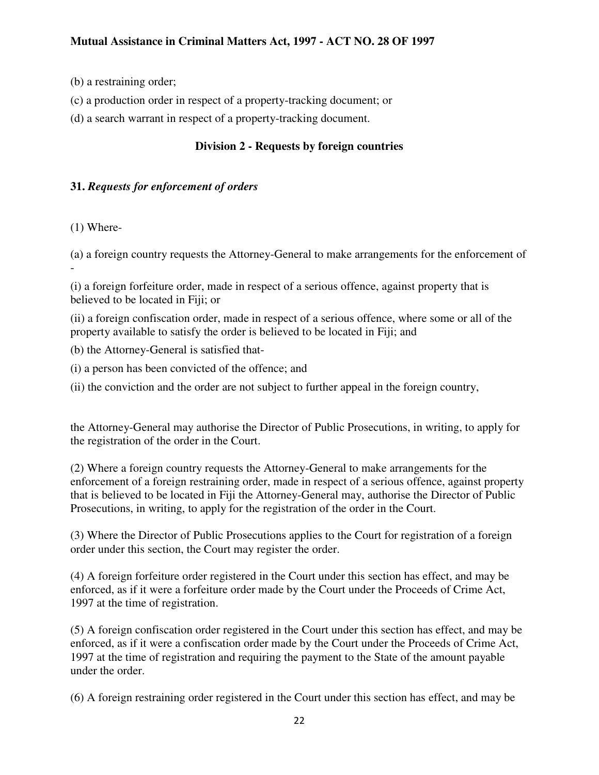- (b) a restraining order;
- (c) a production order in respect of a property-tracking document; or
- (d) a search warrant in respect of a property-tracking document.

# **Division 2 - Requests by foreign countries**

# **31.** *Requests for enforcement of orders*

(1) Where-

(a) a foreign country requests the Attorney-General to make arrangements for the enforcement of -

(i) a foreign forfeiture order, made in respect of a serious offence, against property that is believed to be located in Fiji; or

(ii) a foreign confiscation order, made in respect of a serious offence, where some or all of the property available to satisfy the order is believed to be located in Fiji; and

(b) the Attorney-General is satisfied that-

(i) a person has been convicted of the offence; and

(ii) the conviction and the order are not subject to further appeal in the foreign country,

the Attorney-General may authorise the Director of Public Prosecutions, in writing, to apply for the registration of the order in the Court.

(2) Where a foreign country requests the Attorney-General to make arrangements for the enforcement of a foreign restraining order, made in respect of a serious offence, against property that is believed to be located in Fiji the Attorney-General may, authorise the Director of Public Prosecutions, in writing, to apply for the registration of the order in the Court.

(3) Where the Director of Public Prosecutions applies to the Court for registration of a foreign order under this section, the Court may register the order.

(4) A foreign forfeiture order registered in the Court under this section has effect, and may be enforced, as if it were a forfeiture order made by the Court under the Proceeds of Crime Act, 1997 at the time of registration.

(5) A foreign confiscation order registered in the Court under this section has effect, and may be enforced, as if it were a confiscation order made by the Court under the Proceeds of Crime Act, 1997 at the time of registration and requiring the payment to the State of the amount payable under the order.

(6) A foreign restraining order registered in the Court under this section has effect, and may be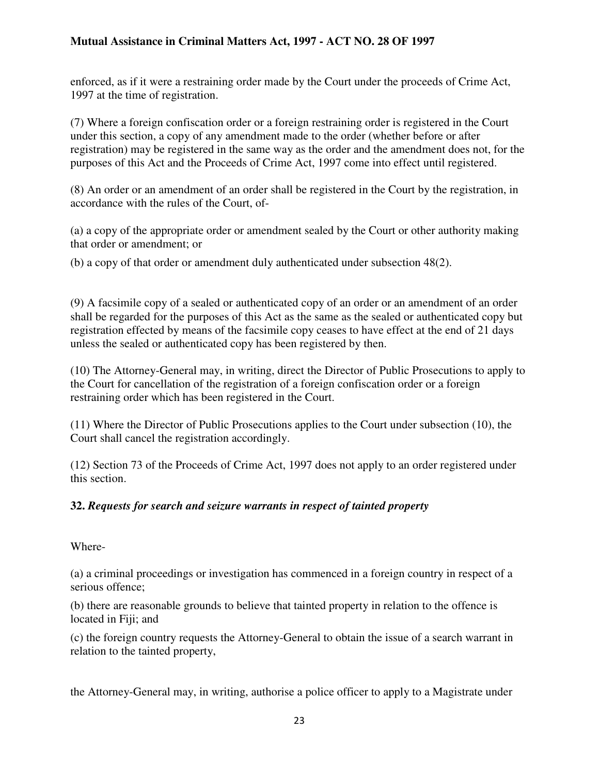enforced, as if it were a restraining order made by the Court under the proceeds of Crime Act, 1997 at the time of registration.

(7) Where a foreign confiscation order or a foreign restraining order is registered in the Court under this section, a copy of any amendment made to the order (whether before or after registration) may be registered in the same way as the order and the amendment does not, for the purposes of this Act and the Proceeds of Crime Act, 1997 come into effect until registered.

(8) An order or an amendment of an order shall be registered in the Court by the registration, in accordance with the rules of the Court, of-

(a) a copy of the appropriate order or amendment sealed by the Court or other authority making that order or amendment; or

(b) a copy of that order or amendment duly authenticated under subsection 48(2).

(9) A facsimile copy of a sealed or authenticated copy of an order or an amendment of an order shall be regarded for the purposes of this Act as the same as the sealed or authenticated copy but registration effected by means of the facsimile copy ceases to have effect at the end of 21 days unless the sealed or authenticated copy has been registered by then.

(10) The Attorney-General may, in writing, direct the Director of Public Prosecutions to apply to the Court for cancellation of the registration of a foreign confiscation order or a foreign restraining order which has been registered in the Court.

(11) Where the Director of Public Prosecutions applies to the Court under subsection (10), the Court shall cancel the registration accordingly.

(12) Section 73 of the Proceeds of Crime Act, 1997 does not apply to an order registered under this section.

## **32.** *Requests for search and seizure warrants in respect of tainted property*

Where-

(a) a criminal proceedings or investigation has commenced in a foreign country in respect of a serious offence;

(b) there are reasonable grounds to believe that tainted property in relation to the offence is located in Fiji; and

(c) the foreign country requests the Attorney-General to obtain the issue of a search warrant in relation to the tainted property,

the Attorney-General may, in writing, authorise a police officer to apply to a Magistrate under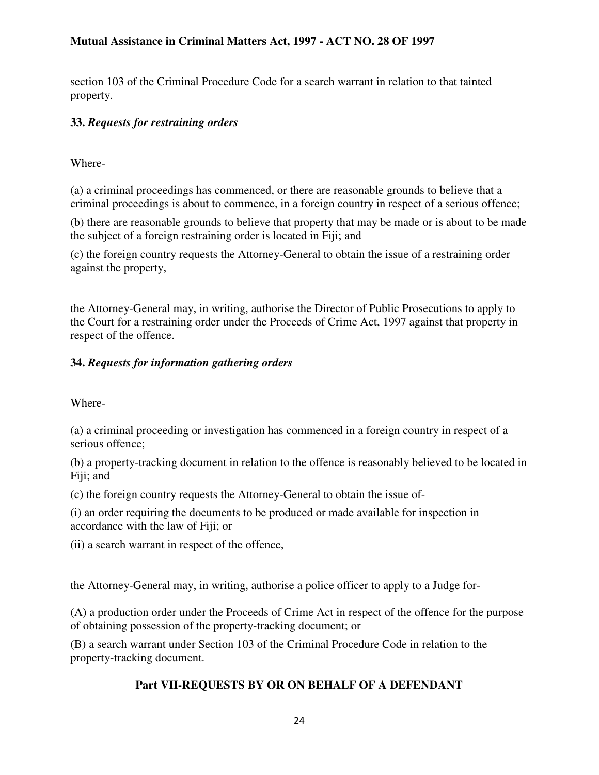section 103 of the Criminal Procedure Code for a search warrant in relation to that tainted property.

# **33.** *Requests for restraining orders*

Where-

(a) a criminal proceedings has commenced, or there are reasonable grounds to believe that a criminal proceedings is about to commence, in a foreign country in respect of a serious offence;

(b) there are reasonable grounds to believe that property that may be made or is about to be made the subject of a foreign restraining order is located in Fiji; and

(c) the foreign country requests the Attorney-General to obtain the issue of a restraining order against the property,

the Attorney-General may, in writing, authorise the Director of Public Prosecutions to apply to the Court for a restraining order under the Proceeds of Crime Act, 1997 against that property in respect of the offence.

## **34.** *Requests for information gathering orders*

Where-

(a) a criminal proceeding or investigation has commenced in a foreign country in respect of a serious offence;

(b) a property-tracking document in relation to the offence is reasonably believed to be located in Fiji; and

(c) the foreign country requests the Attorney-General to obtain the issue of-

(i) an order requiring the documents to be produced or made available for inspection in accordance with the law of Fiji; or

(ii) a search warrant in respect of the offence,

the Attorney-General may, in writing, authorise a police officer to apply to a Judge for-

(A) a production order under the Proceeds of Crime Act in respect of the offence for the purpose of obtaining possession of the property-tracking document; or

(B) a search warrant under Section 103 of the Criminal Procedure Code in relation to the property-tracking document.

# **Part VII-REQUESTS BY OR ON BEHALF OF A DEFENDANT**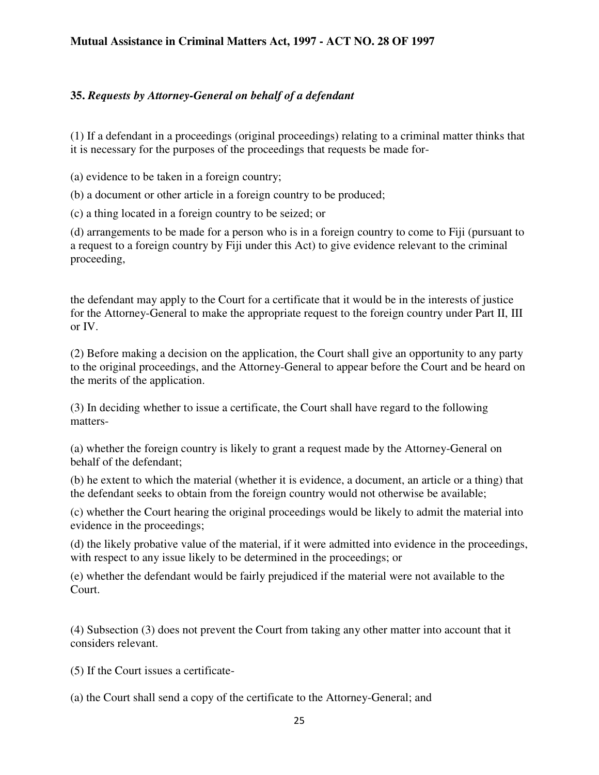#### **35.** *Requests by Attorney-General on behalf of a defendant*

(1) If a defendant in a proceedings (original proceedings) relating to a criminal matter thinks that it is necessary for the purposes of the proceedings that requests be made for-

(a) evidence to be taken in a foreign country;

(b) a document or other article in a foreign country to be produced;

(c) a thing located in a foreign country to be seized; or

(d) arrangements to be made for a person who is in a foreign country to come to Fiji (pursuant to a request to a foreign country by Fiji under this Act) to give evidence relevant to the criminal proceeding,

the defendant may apply to the Court for a certificate that it would be in the interests of justice for the Attorney-General to make the appropriate request to the foreign country under Part II, III or IV.

(2) Before making a decision on the application, the Court shall give an opportunity to any party to the original proceedings, and the Attorney-General to appear before the Court and be heard on the merits of the application.

(3) In deciding whether to issue a certificate, the Court shall have regard to the following matters-

(a) whether the foreign country is likely to grant a request made by the Attorney-General on behalf of the defendant;

(b) he extent to which the material (whether it is evidence, a document, an article or a thing) that the defendant seeks to obtain from the foreign country would not otherwise be available;

(c) whether the Court hearing the original proceedings would be likely to admit the material into evidence in the proceedings;

(d) the likely probative value of the material, if it were admitted into evidence in the proceedings, with respect to any issue likely to be determined in the proceedings; or

(e) whether the defendant would be fairly prejudiced if the material were not available to the Court.

(4) Subsection (3) does not prevent the Court from taking any other matter into account that it considers relevant.

(5) If the Court issues a certificate-

(a) the Court shall send a copy of the certificate to the Attorney-General; and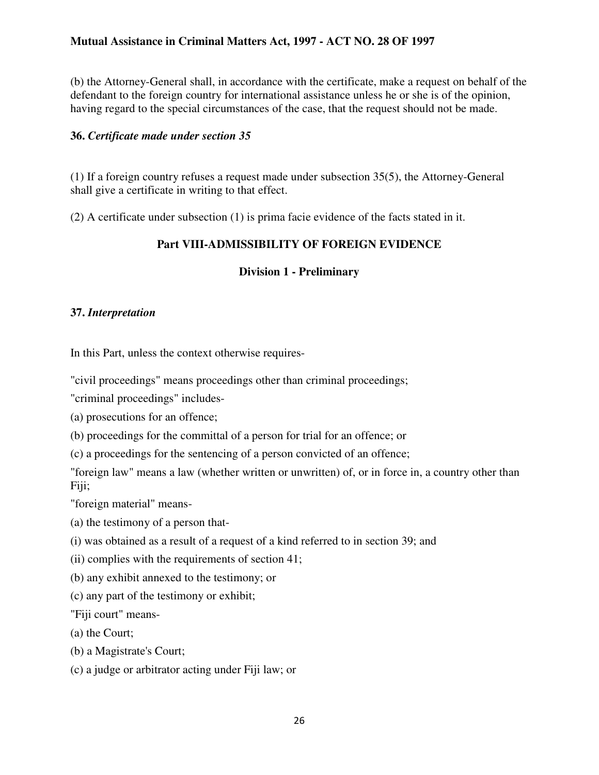(b) the Attorney-General shall, in accordance with the certificate, make a request on behalf of the defendant to the foreign country for international assistance unless he or she is of the opinion, having regard to the special circumstances of the case, that the request should not be made.

#### **36.** *Certificate made under section 35*

(1) If a foreign country refuses a request made under subsection 35(5), the Attorney-General shall give a certificate in writing to that effect.

(2) A certificate under subsection (1) is prima facie evidence of the facts stated in it.

## **Part VIII-ADMISSIBILITY OF FOREIGN EVIDENCE**

# **Division 1 - Preliminary**

## **37.** *Interpretation*

In this Part, unless the context otherwise requires-

"civil proceedings" means proceedings other than criminal proceedings;

"criminal proceedings" includes-

(a) prosecutions for an offence;

(b) proceedings for the committal of a person for trial for an offence; or

(c) a proceedings for the sentencing of a person convicted of an offence;

"foreign law" means a law (whether written or unwritten) of, or in force in, a country other than Fiji;

"foreign material" means-

(a) the testimony of a person that-

(i) was obtained as a result of a request of a kind referred to in section 39; and

(ii) complies with the requirements of section 41;

(b) any exhibit annexed to the testimony; or

(c) any part of the testimony or exhibit;

"Fiji court" means-

(a) the Court;

(b) a Magistrate's Court;

(c) a judge or arbitrator acting under Fiji law; or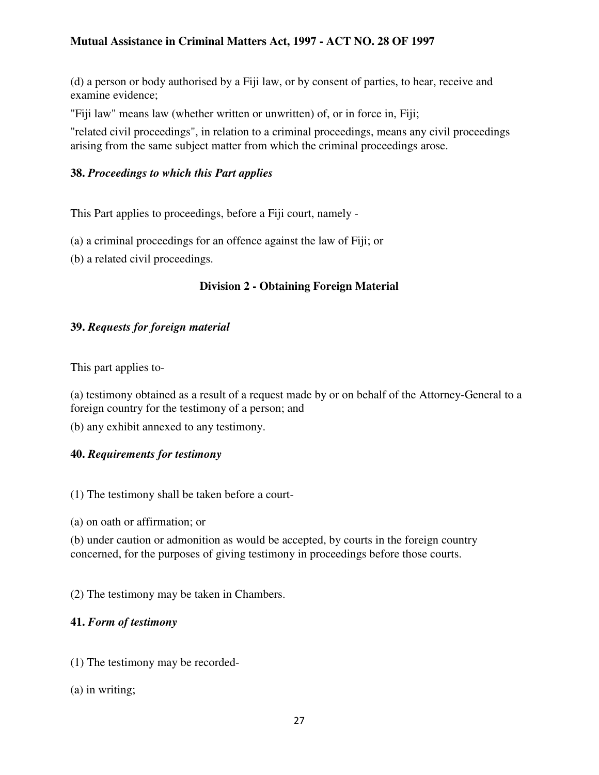(d) a person or body authorised by a Fiji law, or by consent of parties, to hear, receive and examine evidence;

"Fiji law" means law (whether written or unwritten) of, or in force in, Fiji;

"related civil proceedings", in relation to a criminal proceedings, means any civil proceedings arising from the same subject matter from which the criminal proceedings arose.

# **38.** *Proceedings to which this Part applies*

This Part applies to proceedings, before a Fiji court, namely -

(a) a criminal proceedings for an offence against the law of Fiji; or

(b) a related civil proceedings.

# **Division 2 - Obtaining Foreign Material**

# **39.** *Requests for foreign material*

This part applies to-

(a) testimony obtained as a result of a request made by or on behalf of the Attorney-General to a foreign country for the testimony of a person; and

(b) any exhibit annexed to any testimony.

## **40.** *Requirements for testimony*

(1) The testimony shall be taken before a court-

(a) on oath or affirmation; or

(b) under caution or admonition as would be accepted, by courts in the foreign country concerned, for the purposes of giving testimony in proceedings before those courts.

(2) The testimony may be taken in Chambers.

## **41.** *Form of testimony*

(1) The testimony may be recorded-

(a) in writing;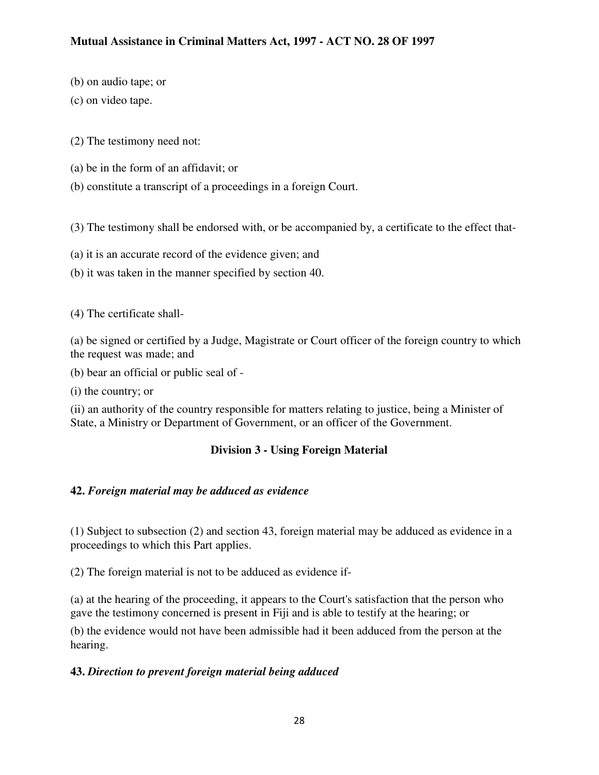- (b) on audio tape; or
- (c) on video tape.
- (2) The testimony need not:
- (a) be in the form of an affidavit; or
- (b) constitute a transcript of a proceedings in a foreign Court.

(3) The testimony shall be endorsed with, or be accompanied by, a certificate to the effect that-

- (a) it is an accurate record of the evidence given; and
- (b) it was taken in the manner specified by section 40.

(4) The certificate shall-

(a) be signed or certified by a Judge, Magistrate or Court officer of the foreign country to which the request was made; and

(b) bear an official or public seal of -

(i) the country; or

(ii) an authority of the country responsible for matters relating to justice, being a Minister of State, a Ministry or Department of Government, or an officer of the Government.

## **Division 3 - Using Foreign Material**

## **42.** *Foreign material may be adduced as evidence*

(1) Subject to subsection (2) and section 43, foreign material may be adduced as evidence in a proceedings to which this Part applies.

(2) The foreign material is not to be adduced as evidence if-

(a) at the hearing of the proceeding, it appears to the Court's satisfaction that the person who gave the testimony concerned is present in Fiji and is able to testify at the hearing; or

(b) the evidence would not have been admissible had it been adduced from the person at the hearing.

## **43.** *Direction to prevent foreign material being adduced*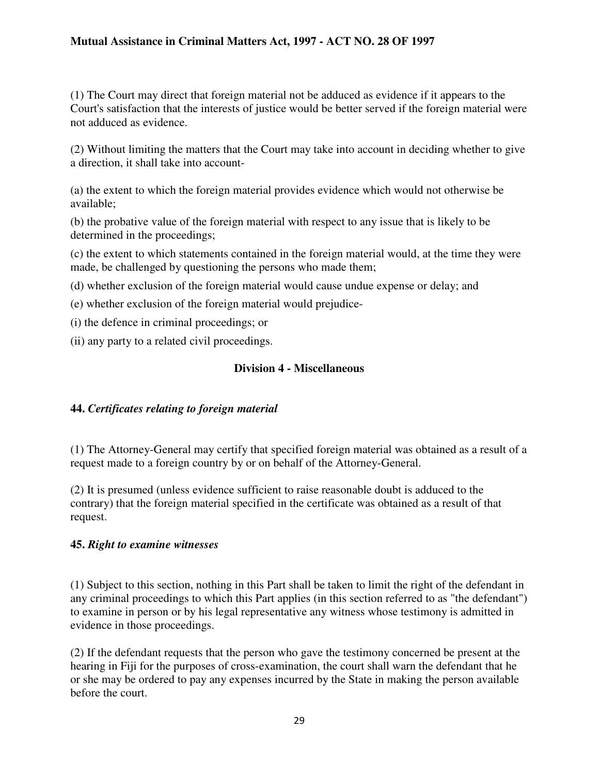(1) The Court may direct that foreign material not be adduced as evidence if it appears to the Court's satisfaction that the interests of justice would be better served if the foreign material were not adduced as evidence.

(2) Without limiting the matters that the Court may take into account in deciding whether to give a direction, it shall take into account-

(a) the extent to which the foreign material provides evidence which would not otherwise be available;

(b) the probative value of the foreign material with respect to any issue that is likely to be determined in the proceedings;

(c) the extent to which statements contained in the foreign material would, at the time they were made, be challenged by questioning the persons who made them;

(d) whether exclusion of the foreign material would cause undue expense or delay; and

(e) whether exclusion of the foreign material would prejudice-

(i) the defence in criminal proceedings; or

(ii) any party to a related civil proceedings.

#### **Division 4 - Miscellaneous**

## **44.** *Certificates relating to foreign material*

(1) The Attorney-General may certify that specified foreign material was obtained as a result of a request made to a foreign country by or on behalf of the Attorney-General.

(2) It is presumed (unless evidence sufficient to raise reasonable doubt is adduced to the contrary) that the foreign material specified in the certificate was obtained as a result of that request.

#### **45.** *Right to examine witnesses*

(1) Subject to this section, nothing in this Part shall be taken to limit the right of the defendant in any criminal proceedings to which this Part applies (in this section referred to as "the defendant") to examine in person or by his legal representative any witness whose testimony is admitted in evidence in those proceedings.

(2) If the defendant requests that the person who gave the testimony concerned be present at the hearing in Fiji for the purposes of cross-examination, the court shall warn the defendant that he or she may be ordered to pay any expenses incurred by the State in making the person available before the court.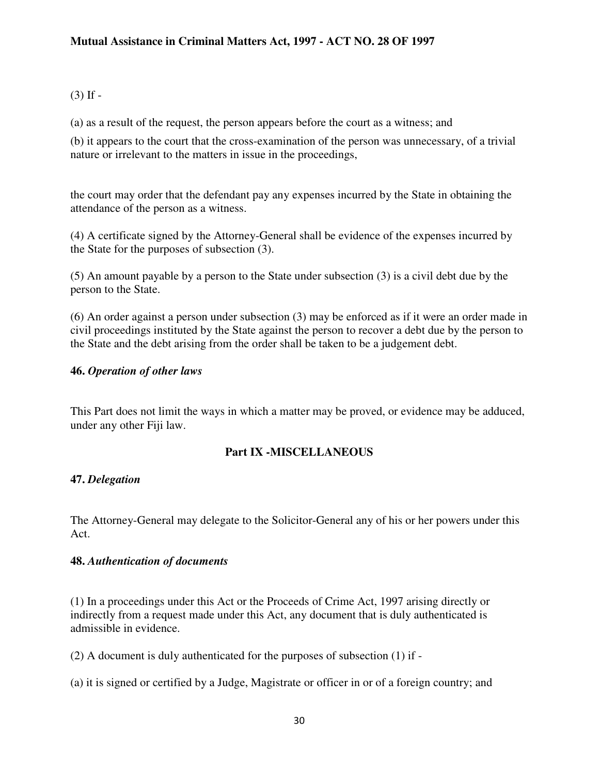#### $(3)$  If  $-$

(a) as a result of the request, the person appears before the court as a witness; and

(b) it appears to the court that the cross-examination of the person was unnecessary, of a trivial nature or irrelevant to the matters in issue in the proceedings,

the court may order that the defendant pay any expenses incurred by the State in obtaining the attendance of the person as a witness.

(4) A certificate signed by the Attorney-General shall be evidence of the expenses incurred by the State for the purposes of subsection (3).

(5) An amount payable by a person to the State under subsection (3) is a civil debt due by the person to the State.

(6) An order against a person under subsection (3) may be enforced as if it were an order made in civil proceedings instituted by the State against the person to recover a debt due by the person to the State and the debt arising from the order shall be taken to be a judgement debt.

#### **46.** *Operation of other laws*

This Part does not limit the ways in which a matter may be proved, or evidence may be adduced, under any other Fiji law.

#### **Part IX -MISCELLANEOUS**

#### **47.** *Delegation*

The Attorney-General may delegate to the Solicitor-General any of his or her powers under this Act.

#### **48.** *Authentication of documents*

(1) In a proceedings under this Act or the Proceeds of Crime Act, 1997 arising directly or indirectly from a request made under this Act, any document that is duly authenticated is admissible in evidence.

(2) A document is duly authenticated for the purposes of subsection (1) if -

(a) it is signed or certified by a Judge, Magistrate or officer in or of a foreign country; and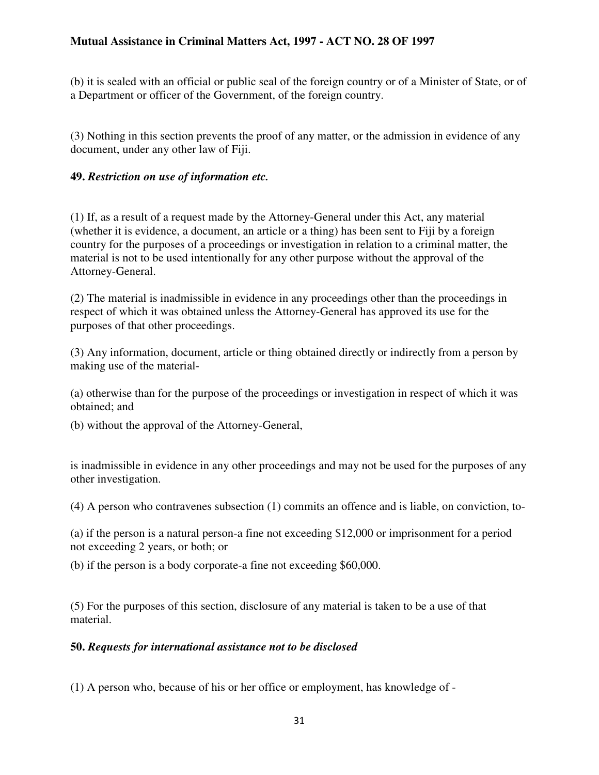(b) it is sealed with an official or public seal of the foreign country or of a Minister of State, or of a Department or officer of the Government, of the foreign country.

(3) Nothing in this section prevents the proof of any matter, or the admission in evidence of any document, under any other law of Fiji.

#### **49.** *Restriction on use of information etc.*

(1) If, as a result of a request made by the Attorney-General under this Act, any material (whether it is evidence, a document, an article or a thing) has been sent to Fiji by a foreign country for the purposes of a proceedings or investigation in relation to a criminal matter, the material is not to be used intentionally for any other purpose without the approval of the Attorney-General.

(2) The material is inadmissible in evidence in any proceedings other than the proceedings in respect of which it was obtained unless the Attorney-General has approved its use for the purposes of that other proceedings.

(3) Any information, document, article or thing obtained directly or indirectly from a person by making use of the material-

(a) otherwise than for the purpose of the proceedings or investigation in respect of which it was obtained; and

(b) without the approval of the Attorney-General,

is inadmissible in evidence in any other proceedings and may not be used for the purposes of any other investigation.

(4) A person who contravenes subsection (1) commits an offence and is liable, on conviction, to-

(a) if the person is a natural person-a fine not exceeding \$12,000 or imprisonment for a period not exceeding 2 years, or both; or

(b) if the person is a body corporate-a fine not exceeding \$60,000.

(5) For the purposes of this section, disclosure of any material is taken to be a use of that material.

#### **50.** *Requests for international assistance not to be disclosed*

(1) A person who, because of his or her office or employment, has knowledge of -